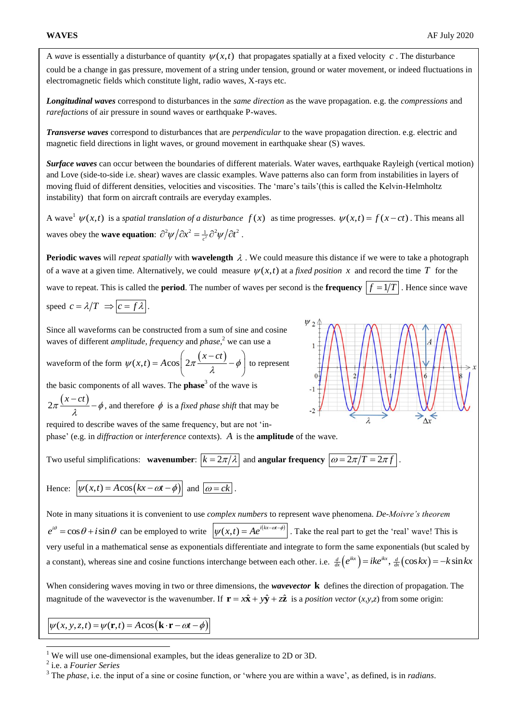A *wave* is essentially a disturbance of quantity  $\psi(x,t)$  that propagates spatially at a fixed velocity c. The disturbance could be a change in gas pressure, movement of a string under tension, ground or water movement, or indeed fluctuations in electromagnetic fields which constitute light, radio waves, X-rays etc.

*Longitudinal waves* correspond to disturbances in the *same direction* as the wave propagation. e.g. the *compressions* and *rarefactions* of air pressure in sound waves or earthquake P-waves.

*Transverse waves* correspond to disturbances that are *perpendicular* to the wave propagation direction. e.g. electric and magnetic field directions in light waves, or ground movement in earthquake shear (S) waves.

*Surface waves* can occur between the boundaries of different materials. Water waves, earthquake Rayleigh (vertical motion) and Love (side-to-side i.e. shear) waves are classic examples. Wave patterns also can form from instabilities in layers of moving fluid of different densities, velocities and viscosities. The 'mare's tails'(this is called the Kelvin-Helmholtz instability) that form on aircraft contrails are everyday examples.

A wave<sup>1</sup>  $\psi(x,t)$  is a *spatial translation of a disturbance*  $f(x)$  as time progresses.  $\psi(x,t) = f(x-ct)$ . This means all waves obey the **wave equation**:  $\partial^2 \psi / \partial x^2 = \frac{1}{c^2} \partial^2 \psi / \partial t^2$ .

**Periodic waves** will *repeat spatially* with **wavelength**  $\lambda$ . We could measure this distance if we were to take a photograph of a wave at a given time. Alternatively, we could measure  $\psi(x,t)$  at a *fixed position* x and record the time T for the wave to repeat. This is called the **period**. The number of waves per second is the **frequency**  $|f = 1/T|$ . Hence since wave

$$
speed \ c = \lambda/T \implies c = f\lambda.
$$

Since all waveforms can be constructed from a sum of sine and cosine waves of different *amplitude*, *frequency* and *phase*, <sup>2</sup> we can use a

waves of different *amplitude*, *f* requires 
$$
\int \tan \beta x \, dx
$$
, we can use a  
waveform of the form  $\psi(x,t) = A \cos \left( 2\pi \frac{(x-ct)}{\lambda} - \phi \right)$  to represent

the basic components of all waves. The **phase**<sup>3</sup> of the wave is

$$
2\pi \frac{(x-ct)}{\lambda} - \phi
$$
, and therefore  $\phi$  is a *fixed phase shift* that may be

required to describe waves of the same frequency, but are not 'inphase' (e.g. in *diffraction* or *interference* contexts). *A* is the **amplitude** of the wave.

Two useful simplifications: **wavenumber**:  $\boxed{k = 2\pi/\lambda}$  and **angular frequency**  $\boxed{\omega = 2\pi/T = 2\pi f}$ . Hence:  $\boxed{\psi(x,t) = A\cos\left(kx - \omega t - \phi\right)}$  and  $\boxed{\omega = ck}$ .

Note in many situations it is convenient to use *complex numbers* to represent wave phenomena. *De-Moivre's theorem*   $e^{i\theta} = \cos\theta + i\sin\theta$  can be employed to write  $|\psi(x,t) = Ae^{i(kx-\alpha t-\phi)}|$ . Take the real part to get the 'real' wave! This is very useful in a mathematical sense as exponentials differentiate and integrate to form the same exponentials (but scaled by very useful in a mathematical sense as exponentials differentiate and integrate to form the same exponentials (but scaled by a constant), whereas sine and cosine functions interchange between each other. i.e.  $\frac{d}{dx} (e^{ik$ 

When considering waves moving in two or three dimensions, the *wavevector* **k** defines the direction of propagation. The magnitude of the wavevector is the wavenumber. If  $\mathbf{r} = x\hat{\mathbf{x}} + y\hat{\mathbf{y}} + z\hat{\mathbf{z}}$  is a *position vector* (*x,y,z*) from some origin:

 $\psi(x, y, z, t) = \psi(\mathbf{r}, t) = A \cos(\mathbf{k} \cdot \mathbf{r} - \omega t - \phi)$ 

-



<sup>&</sup>lt;sup>1</sup> We will use one-dimensional examples, but the ideas generalize to 2D or 3D.

<sup>2</sup> i.e. a *Fourier Series*

<sup>3</sup> The *phase*, i.e. the input of a sine or cosine function, or 'where you are within a wave', as defined, is in *radians*.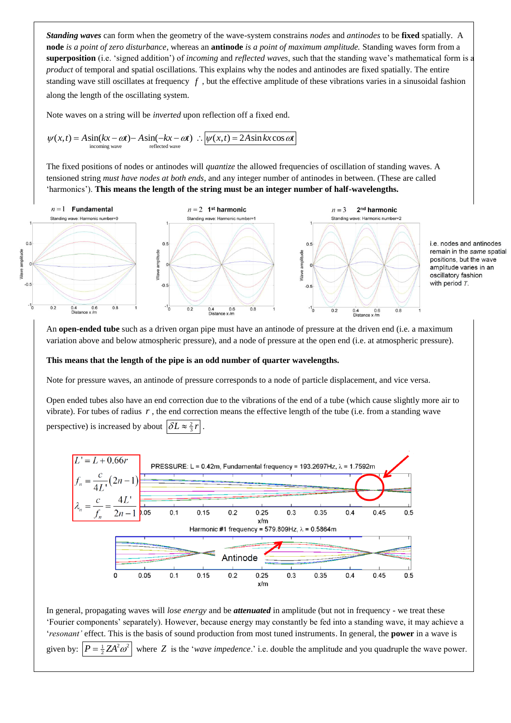*Standing waves* can form when the geometry of the wave-system constrains *nodes* and *antinodes* to be **fixed** spatially. A **node** *is a point of zero disturbance*, whereas an **antinode** *is a point of maximum amplitude.* Standing waves form from a **superposition** (i.e. 'signed addition') of *incoming* and *reflected waves*, such that the standing wave's mathematical form is a *product* of temporal and spatial oscillations. This explains why the nodes and antinodes are fixed spatially. The entire standing wave still oscillates at frequency *f* , but the effective amplitude of these vibrations varies in a sinusoidal fashion along the length of the oscillating system.

Note waves on a string will be *inverted* upon reflection off a fixed end.  
\n
$$
\psi(x,t) = A\sin(kx - \omega t) - A\sin(-kx - \omega t) \therefore \boxed{\psi(x,t) = 2A\sin kx\cos\omega t}
$$
\n
$$
\text{incoming wave}
$$

The fixed positions of nodes or antinodes will *quantize* the allowed frequencies of oscillation of standing waves. A tensioned string *must have nodes at both ends*, and any integer number of antinodes in between. (These are called 'harmonics'). **This means the length of the string must be an integer number of half-wavelengths.**



i.e. nodes and antinodes remain in the same spatial positions, but the wave amplitude varies in an oscillatory fashion with period  $T$ .

An **open-ended tube** such as a driven organ pipe must have an antinode of pressure at the driven end (i.e. a maximum variation above and below atmospheric pressure), and a node of pressure at the open end (i.e. at atmospheric pressure).

### **This means that the length of the pipe is an odd number of quarter wavelengths.**

Note for pressure waves, an antinode of pressure corresponds to a node of particle displacement, and vice versa.

Open ended tubes also have an end correction due to the vibrations of the end of a tube (which cause slightly more air to vibrate). For tubes of radius  $r$ , the end correction means the effective length of the tube (i.e. from a standing wave perspective) is increased by about  $\left|\delta L \approx \frac{2}{3}r\right|$ .



In general, propagating waves will *lose energy* and be *attenuated* in amplitude (but not in frequency - we treat these 'Fourier components' separately). However, because energy may constantly be fed into a standing wave, it may achieve a '*resonant'* effect. This is the basis of sound production from most tuned instruments. In general, the **power** in a wave is given by:  $P = \frac{1}{2} Z A^2 \omega^2$  where Z is the '*wave impedence*.' i.e. double the amplitude and you quadruple the wave power.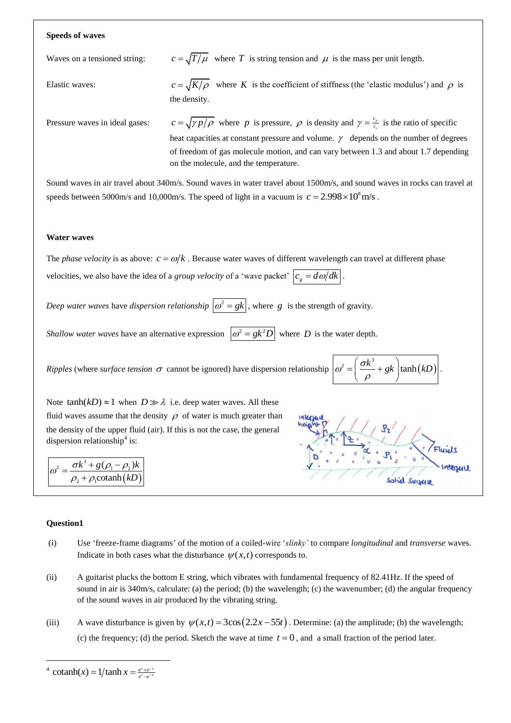#### **Speeds of waves**

Waves on a tensioned string:

 $c = \sqrt{T/\mu}$  where T is string tension and  $\mu$  is the mass per unit length.

Elastic waves:  $c = \sqrt{K/\rho}$  where K is the coefficient of stiffness (the 'elastic modulus') and  $\rho$  is the density.

Pressure waves in ideal gases:

 $c = \sqrt{\gamma p/\rho}$  where *p* is pressure,  $\rho$  is density and  $\gamma = \frac{c_p}{c_p}$ *v c*  $\gamma = \frac{c_p}{c_v}$  is the ratio of specific heat capacities at constant pressure and volume.  $\gamma$  depends on the number of degrees of freedom of gas molecule motion, and can vary between 1.3 and about 1.7 depending on the molecule, and the temperature.

Sound waves in air travel about 340m/s. Sound waves in water travel about 1500m/s, and sound waves in rocks can travel at speeds between 5000m/s and 10,000m/s. The speed of light in a vacuum is  $c = 2.998 \times 10^8$  m/s.

#### **Water waves**

The *phase velocity* is as above:  $c = \omega/k$ . Because water waves of different wavelength can travel at different phase velocities, we also have the idea of a *group velocity* of a 'wave packet'  $\left| c_g = d\omega/dk \right|$ .

*Deep water waves* have *dispersion relationship*  $|\omega^2 = gk|$ , where g is the strength of gravity.

*Shallow water waves* have an alternative expression  $\left| \omega^2 = g k^2 D \right|$  where D is the water depth.

*Ripples* (where *surface tension*  $\sigma$  cannot be ignored) have dispersion relationship  $\omega^2$  $=\left(\frac{\sigma k^3}{\rho}+gk\right)\tanh(kD)$  $\rho$ 

Note  $tanh(kD) \approx 1$  when  $D \gg \lambda$  i.e. deep water waves. All these fluid waves assume that the density  $\rho$  of water is much greater than the density of the upper fluid (air). If this is not the case, the general dispersion relationship<sup>4</sup> is:

$$
\omega^2 = \frac{\sigma k^3 + g(\rho_1 - \rho_2)k}{\rho_2 + \rho_1 \text{cotanh}(kD)}
$$



.

3

### **Question1**

-

- (i) Use 'freeze-frame diagrams' of the motion of a coiled-wire '*slinky'* to compare *longitudinal* and *transverse* waves. Indicate in both cases what the disturbance  $\psi(x,t)$  corresponds to.
- (ii) A guitarist plucks the bottom E string, which vibrates with fundamental frequency of 82.41Hz. If the speed of sound in air is 340m/s, calculate: (a) the period; (b) the wavelength; (c) the wavenumber; (d) the angular frequency of the sound waves in air produced by the vibrating string.
- (iii) A wave disturbance is given by  $\psi(x,t) = 3\cos(2.2x 55t)$ . Determine: (a) the amplitude; (b) the wavelength; (c) the frequency; (d) the period. Sketch the wave at time  $t = 0$ , and a small fraction of the period later.

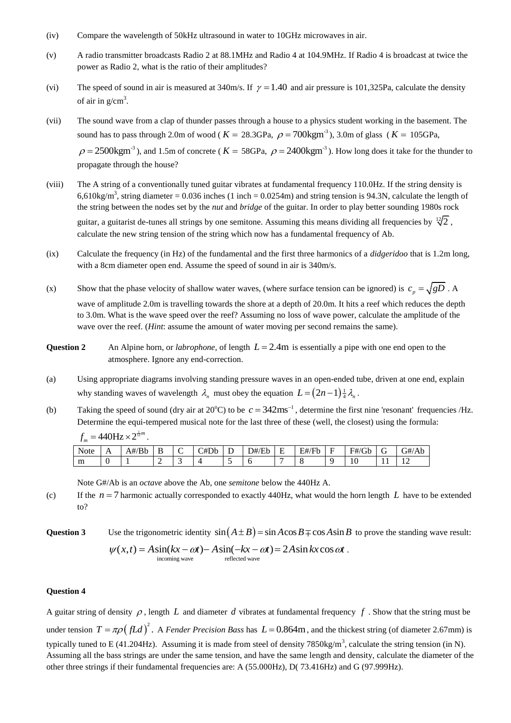- (iv) Compare the wavelength of 50kHz ultrasound in water to 10GHz microwaves in air.
- (v) A radio transmitter broadcasts Radio 2 at 88.1MHz and Radio 4 at 104.9MHz. If Radio 4 is broadcast at twice the power as Radio 2, what is the ratio of their amplitudes?
- (vi) The speed of sound in air is measured at 340m/s. If  $\gamma = 1.40$  and air pressure is 101,325Pa, calculate the density of air in  $g/cm<sup>3</sup>$ .
- (vii) The sound wave from a clap of thunder passes through a house to a physics student working in the basement. The sound has to pass through 2.0m of wood ( $K = 28.3$ GPa,  $\rho = 700$ kgm<sup>3</sup>), 3.0m of glass ( $K = 105$ GPa,  $\rho = 2500 \text{kgm}^{-3}$ ), and 1.5m of concrete ( $K = 58$ GPa,  $\rho = 2400 \text{kgm}^{-3}$ ). How long does it take for the thunder to propagate through the house?
- (viii) The A string of a conventionally tuned guitar vibrates at fundamental frequency 110.0Hz. If the string density is 6,610kg/m<sup>3</sup>, string diameter = 0.036 inches (1 inch = 0.0254m) and string tension is 94.3N, calculate the length of the string between the nodes set by the *nut* and *bridge* of the guitar. In order to play better sounding 1980s rock guitar, a guitarist de-tunes all strings by one semitone. Assuming this means dividing all frequencies by  $\sqrt[12]{2}$ , calculate the new string tension of the string which now has a fundamental frequency of Ab.
- (ix) Calculate the frequency (in Hz) of the fundamental and the first three harmonics of a *didgeridoo* that is 1.2m long, with a 8cm diameter open end. Assume the speed of sound in air is 340m/s.
- (x) Show that the phase velocity of shallow water waves, (where surface tension can be ignored) is  $c_p = \sqrt{gD}$ . A wave of amplitude 2.0m is travelling towards the shore at a depth of 20.0m. It hits a reef which reduces the depth to 3.0m. What is the wave speed over the reef? Assuming no loss of wave power, calculate the amplitude of the wave over the reef. (*Hint*: assume the amount of water moving per second remains the same).
- **Question 2** An Alpine horn, or *labrophone*, of length  $L = 2.4$ m is essentially a pipe with one end open to the atmosphere. Ignore any end-correction.
- (a) Using appropriate diagrams involving standing pressure waves in an open-ended tube, driven at one end, explain why standing waves of wavelength  $\lambda_n$  must obey the equation  $L = (2n-1) \frac{1}{4} \lambda_n$ .
- (b) Taking the speed of sound (dry air at 20<sup>o</sup>C) to be  $c = 342 \text{ms}^{-1}$ , determine the first nine 'resonant' frequencies /Hz. Determine the equi-tempered musical note for the last three of these (well, the closest) using the formula:  $f_m = 440 \text{Hz} \times 2^{\frac{1}{12}m}$ .

| Note | . . | $\frac{1}{2}$<br>A#/<br>, D. h<br>DU |   | ∼<br>◡ | C#Db | $\overline{\phantom{a}}$<br>∸ | D#/F'<br>Ήh<br>نائلا | . . | E#/Fl<br>′ ⊢ h | $\sim$<br>⊷ | F#/Gl<br>Gb |     | G#/Ab          |
|------|-----|--------------------------------------|---|--------|------|-------------------------------|----------------------|-----|----------------|-------------|-------------|-----|----------------|
| m    | ◡   |                                      | - |        |      | $\overline{\phantom{0}}$      | U                    |     |                |             | ΙV          | . . | $\overline{1}$ |

Note G#/Ab is an *octave* above the Ab, one *semitone* below the 440Hz A.

(c) If the  $n = 7$  harmonic actually corresponded to exactly 440Hz, what would the horn length  $L$  have to be extended to?

**Question 3** Use the trigonometric identity  $sin(A \pm B) = sin A cos B \mp cos A sin B$  to prove the standing wave result:

Use the trigonometric identity 
$$
\sin(A \pm B) = \sin A \cos B \mp \cos A \sin B
$$
 to pro  
\n $\psi(x,t) = A \sin(kx - \omega t) - A \sin(-kx - \omega t) = 2A \sin kx \cos \omega t$ .  
\n<sub>incoming wave</sub>

# **Question 4**

A guitar string of density  $\rho$ , length  $L$  and diameter  $d$  vibrates at fundamental frequency  $f$ . Show that the string must be under tension  $T = \pi \rho \left( fL d \right)^2$ . A *Fender Precision Bass* has  $L = 0.864$ m, and the thickest string (of diameter 2.67mm) is typically tuned to E (41.204Hz). Assuming it is made from steel of density  $7850 \text{kg/m}^3$ , calculate the string tension (in N). Assuming all the bass strings are under the same tension, and have the same length and density, calculate the diameter of the other three strings if their fundamental frequencies are: A (55.000Hz), D( 73.416Hz) and G (97.999Hz).